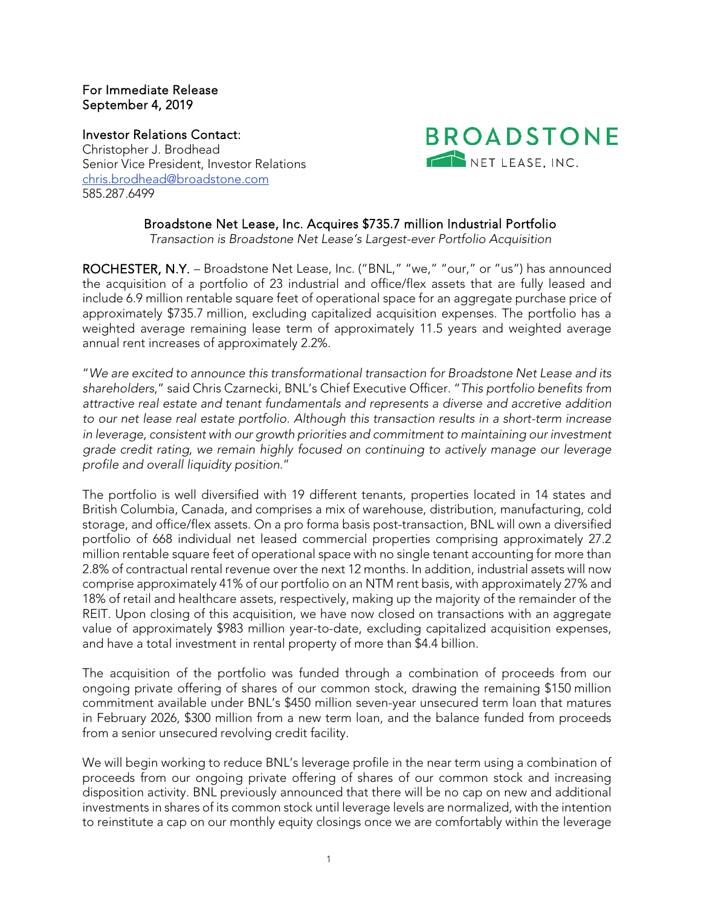## For Immediate Release September 4, 2019

Investor Relations Contact: Christopher J. Brodhead Senior Vice President, Investor Relations [chris.brodhead@broadstone.com](mailto:chris.brodhead@broadstone.com) 585.287.6499



## Broadstone Net Lease, Inc. Acquires \$735.7 million Industrial Portfolio

*Transaction is Broadstone Net Lease's Largest-ever Portfolio Acquisition*

ROCHESTER, N.Y. - Broadstone Net Lease, Inc. ("BNL," "we," "our," or "us") has announced the acquisition of a portfolio of 23 industrial and office/flex assets that are fully leased and include 6.9 million rentable square feet of operational space for an aggregate purchase price of approximately \$735.7 million, excluding capitalized acquisition expenses. The portfolio has a weighted average remaining lease term of approximately 11.5 years and weighted average annual rent increases of approximately 2.2%.

"*We are excited to announce this transformational transaction for Broadstone Net Lease and its shareholders*," said Chris Czarnecki, BNL's Chief Executive Officer. "*This portfolio benefits from attractive real estate and tenant fundamentals and represents a diverse and accretive addition to our net lease real estate portfolio. Although this transaction results in a short-term increase*  in leverage, consistent with our growth priorities and commitment to maintaining our investment *grade credit rating, we remain highly focused on continuing to actively manage our leverage profile and overall liquidity position*."

The portfolio is well diversified with 19 different tenants, properties located in 14 states and British Columbia, Canada, and comprises a mix of warehouse, distribution, manufacturing, cold storage, and office/flex assets. On a pro forma basis post-transaction, BNL will own a diversified portfolio of 668 individual net leased commercial properties comprising approximately 27.2 million rentable square feet of operational space with no single tenant accounting for more than 2.8% of contractual rental revenue over the next 12 months. In addition, industrial assets will now comprise approximately 41% of our portfolio on an NTM rent basis, with approximately 27% and 18% of retail and healthcare assets, respectively, making up the majority of the remainder of the REIT. Upon closing of this acquisition, we have now closed on transactions with an aggregate value of approximately \$983 million year-to-date, excluding capitalized acquisition expenses, and have a total investment in rental property of more than \$4.4 billion.

The acquisition of the portfolio was funded through a combination of proceeds from our ongoing private offering of shares of our common stock, drawing the remaining \$150 million commitment available under BNL's \$450 million seven-year unsecured term loan that matures in February 2026, \$300 million from a new term loan, and the balance funded from proceeds from a senior unsecured revolving credit facility.

We will begin working to reduce BNL's leverage profile in the near term using a combination of proceeds from our ongoing private offering of shares of our common stock and increasing disposition activity. BNL previously announced that there will be no cap on new and additional investments in shares of its common stock until leverage levels are normalized, with the intention to reinstitute a cap on our monthly equity closings once we are comfortably within the leverage